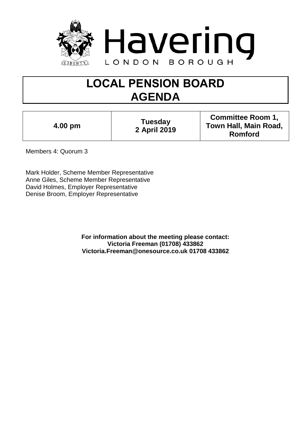

# **LOCAL PENSION BOARD AGENDA**

|  | 4.00 pm |
|--|---------|

**4.00 pm Tuesday 2 April 2019**

**Committee Room 1, Town Hall, Main Road, Romford**

Members 4: Quorum 3

Mark Holder, Scheme Member Representative Anne Giles, Scheme Member Representative David Holmes, Employer Representative Denise Broom, Employer Representative

> **For information about the meeting please contact: Victoria Freeman (01708) 433862 Victoria.Freeman@onesource.co.uk 01708 433862**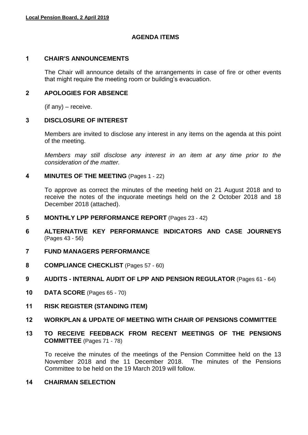## **AGENDA ITEMS**

#### **1 CHAIR'S ANNOUNCEMENTS**

The Chair will announce details of the arrangements in case of fire or other events that might require the meeting room or building's evacuation.

#### **2 APOLOGIES FOR ABSENCE**

 $($ if any $)$  – receive.

#### **3 DISCLOSURE OF INTEREST**

Members are invited to disclose any interest in any items on the agenda at this point of the meeting.

*Members may still disclose any interest in an item at any time prior to the consideration of the matter.*

#### **4 MINUTES OF THE MEETING** (Pages 1 - 22)

To approve as correct the minutes of the meeting held on 21 August 2018 and to receive the notes of the inquorate meetings held on the 2 October 2018 and 18 December 2018 (attached).

- **5 MONTHLY LPP PERFORMANCE REPORT** (Pages 23 42)
- **6 ALTERNATIVE KEY PERFORMANCE INDICATORS AND CASE JOURNEYS** (Pages 43 - 56)
- **7 FUND MANAGERS PERFORMANCE**
- **8 COMPLIANCE CHECKLIST** (Pages 57 60)
- **9 AUDITS - INTERNAL AUDIT OF LPP AND PENSION REGULATOR** (Pages 61 64)
- **10 DATA SCORE** (Pages 65 70)
- **11 RISK REGISTER (STANDING ITEM)**
- **12 WORKPLAN & UPDATE OF MEETING WITH CHAIR OF PENSIONS COMMITTEE**
- **13 TO RECEIVE FEEDBACK FROM RECENT MEETINGS OF THE PENSIONS COMMITTEE** (Pages 71 - 78)

To receive the minutes of the meetings of the Pension Committee held on the 13 November 2018 and the 11 December 2018. The minutes of the Pensions Committee to be held on the 19 March 2019 will follow.

## **14 CHAIRMAN SELECTION**